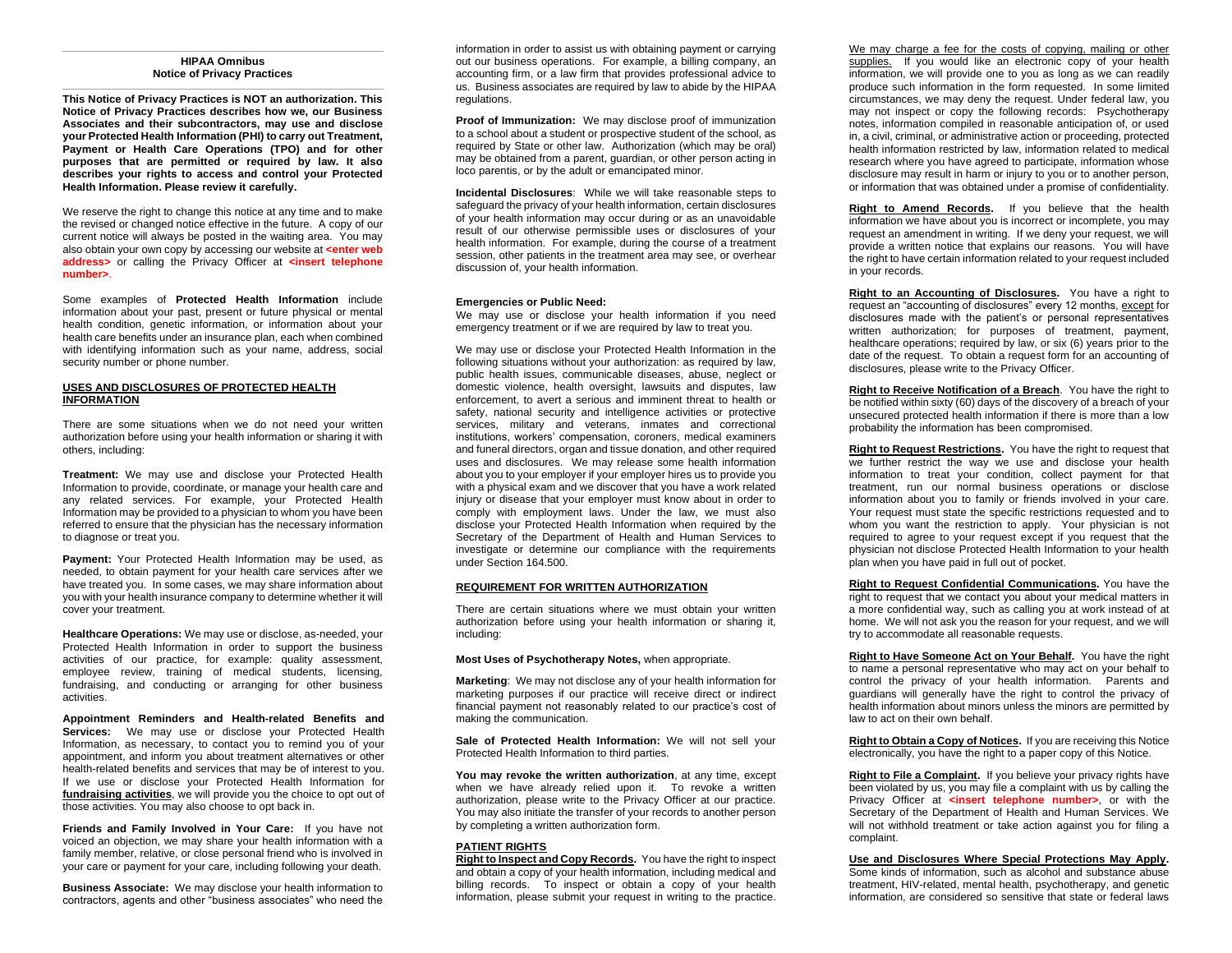#### **HIPAA Omnibus Notice of Privacy Practices**

**This Notice of Privacy Practices is NOT an authorization. This Notice of Privacy Practices describes how we, our Business Associates and their subcontractors, may use and disclose your Protected Health Information (PHI) to carry out Treatment, Payment or Health Care Operations (TPO) and for other purposes that are permitted or required by law. It also describes your rights to access and control your Protected Health Information. Please review it carefully.**

We reserve the right to change this notice at any time and to make the revised or changed notice effective in the future. A copy of our current notice will always be posted in the waiting area. You may also obtain your own copy by accessing our website at **<enter web address>** or calling the Privacy Officer at **<insert telephone number>**.

Some examples of **Protected Health Information** include information about your past, present or future physical or mental health condition, genetic information, or information about your health care benefits under an insurance plan, each when combined with identifying information such as your name, address, social security number or phone number.

# **USES AND DISCLOSURES OF PROTECTED HEALTH INFORMATION**

There are some situations when we do not need your written authorization before using your health information or sharing it with others, including:

**Treatment:** We may use and disclose your Protected Health Information to provide, coordinate, or manage your health care and any related services. For example, your Protected Health Information may be provided to a physician to whom you have been referred to ensure that the physician has the necessary information to diagnose or treat you.

**Payment:** Your Protected Health Information may be used, as needed, to obtain payment for your health care services after we have treated you. In some cases, we may share information about you with your health insurance company to determine whether it will cover your treatment.

**Healthcare Operations:** We may use or disclose, as-needed, your Protected Health Information in order to support the business activities of our practice, for example: quality assessment, employee review, training of medical students, licensing, fundraising, and conducting or arranging for other business activities.

**Appointment Reminders and Health-related Benefits and**  Services: We may use or disclose your Protected Health Information, as necessary, to contact you to remind you of your appointment, and inform you about treatment alternatives or other health-related benefits and services that may be of interest to you. If we use or disclose your Protected Health Information for **fundraising activities**, we will provide you the choice to opt out of those activities. You may also choose to opt back in.

**Friends and Family Involved in Your Care:** If you have not voiced an objection, we may share your health information with a family member, relative, or close personal friend who is involved in your care or payment for your care, including following your death.

**Business Associate:** We may disclose your health information to contractors, agents and other "business associates" who need the

information in order to assist us with obtaining payment or carrying out our business operations. For example, a billing company, an accounting firm, or a law firm that provides professional advice to us. Business associates are required by law to abide by the HIPAA regulations.

**Proof of Immunization:** We may disclose proof of immunization to a school about a student or prospective student of the school, as required by State or other law. Authorization (which may be oral) may be obtained from a parent, guardian, or other person acting in loco parentis, or by the adult or emancipated minor.

**Incidental Disclosures**: While we will take reasonable steps to safeguard the privacy of your health information, certain disclosures of your health information may occur during or as an unavoidable result of our otherwise permissible uses or disclosures of your health information. For example, during the course of a treatment session, other patients in the treatment area may see, or overhear discussion of, your health information.

#### **Emergencies or Public Need:**

We may use or disclose your health information if you need emergency treatment or if we are required by law to treat you.

We may use or disclose your Protected Health Information in the following situations without your authorization: as required by law, public health issues, communicable diseases, abuse, neglect or domestic violence, health oversight, lawsuits and disputes, law enforcement, to avert a serious and imminent threat to health or safety, national security and intelligence activities or protective services, military and veterans, inmates and correctional institutions, workers' compensation, coroners, medical examiners and funeral directors, organ and tissue donation, and other required uses and disclosures. We may release some health information about you to your employer if your employer hires us to provide you with a physical exam and we discover that you have a work related injury or disease that your employer must know about in order to comply with employment laws. Under the law, we must also disclose your Protected Health Information when required by the Secretary of the Department of Health and Human Services to investigate or determine our compliance with the requirements under Section 164.500.

## **REQUIREMENT FOR WRITTEN AUTHORIZATION**

There are certain situations where we must obtain your written authorization before using your health information or sharing it, including:

## **Most Uses of Psychotherapy Notes,** when appropriate.

**Marketing**: We may not disclose any of your health information for marketing purposes if our practice will receive direct or indirect financial payment not reasonably related to our practice's cost of making the communication.

**Sale of Protected Health Information:** We will not sell your Protected Health Information to third parties.

**You may revoke the written authorization**, at any time, except when we have already relied upon it. To revoke a written authorization, please write to the Privacy Officer at our practice. You may also initiate the transfer of your records to another person by completing a written authorization form.

## **PATIENT RIGHTS**

**Right to Inspect and Copy Records.** You have the right to inspect and obtain a copy of your health information, including medical and billing records. To inspect or obtain a copy of your health information, please submit your request in writing to the practice.

We may charge a fee for the costs of copying, mailing or other supplies. If you would like an electronic copy of your health information, we will provide one to you as long as we can readily produce such information in the form requested. In some limited circumstances, we may deny the request. Under federal law, you may not inspect or copy the following records: Psychotherapy notes, information compiled in reasonable anticipation of, or used in, a civil, criminal, or administrative action or proceeding, protected health information restricted by law, information related to medical research where you have agreed to participate, information whose disclosure may result in harm or injury to you or to another person, or information that was obtained under a promise of confidentiality.

**Right to Amend Records.** If you believe that the health information we have about you is incorrect or incomplete, you may request an amendment in writing. If we deny your request, we will provide a written notice that explains our reasons. You will have the right to have certain information related to your request included in your records.

**Right to an Accounting of Disclosures.** You have a right to request an "accounting of disclosures" every 12 months, except for disclosures made with the patient's or personal representatives written authorization; for purposes of treatment, payment, healthcare operations; required by law, or six (6) years prior to the date of the request. To obtain a request form for an accounting of disclosures, please write to the Privacy Officer.

**Right to Receive Notification of a Breach**. You have the right to be notified within sixty (60) days of the discovery of a breach of your unsecured protected health information if there is more than a low probability the information has been compromised.

**Right to Request Restrictions.** You have the right to request that we further restrict the way we use and disclose your health information to treat your condition, collect payment for that treatment, run our normal business operations or disclose information about you to family or friends involved in your care. Your request must state the specific restrictions requested and to whom you want the restriction to apply. Your physician is not required to agree to your request except if you request that the physician not disclose Protected Health Information to your health plan when you have paid in full out of pocket.

**Right to Request Confidential Communications.** You have the right to request that we contact you about your medical matters in a more confidential way, such as calling you at work instead of at home. We will not ask you the reason for your request, and we will try to accommodate all reasonable requests.

**Right to Have Someone Act on Your Behalf.** You have the right to name a personal representative who may act on your behalf to control the privacy of your health information. Parents and guardians will generally have the right to control the privacy of health information about minors unless the minors are permitted by law to act on their own behalf.

**Right to Obtain a Copy of Notices.** If you are receiving this Notice electronically, you have the right to a paper copy of this Notice.

**Right to File a Complaint.** If you believe your privacy rights have been violated by us, you may file a complaint with us by calling the Privacy Officer at **<insert telephone number>**, or with the Secretary of the Department of Health and Human Services. We will not withhold treatment or take action against you for filing a complaint.

**Use and Disclosures Where Special Protections May Apply.**

Some kinds of information, such as alcohol and substance abuse treatment, HIV-related, mental health, psychotherapy, and genetic information, are considered so sensitive that state or federal laws